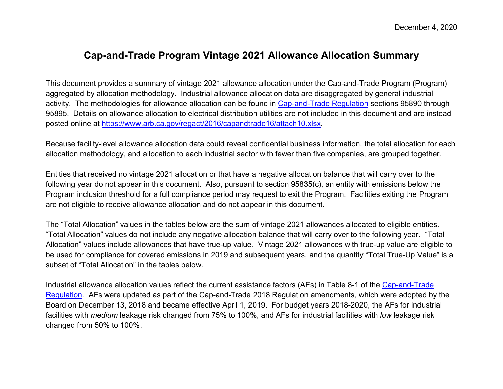### **Cap-and-Trade Program Vintage 2021 Allowance Allocation Summary**

This document provides a summary of vintage 2021 allowance allocation under the Cap-and-Trade Program (Program) aggregated by allocation methodology. Industrial allowance allocation data are disaggregated by general industrial activity. The methodologies for allowance allocation can be found in [Cap-and-Trade Regulation](https://ww2.arb.ca.gov/sites/default/files/classic/cc/capandtrade/ct_reg_unofficial.pdf) sections 95890 through 95895. Details on allowance allocation to electrical distribution utilities are not included in this document and are instead posted online at [https://www.arb.ca.gov/regact/2016/capandtrade16/attach10.xlsx.](https://www.arb.ca.gov/regact/2016/capandtrade16/attach10.xlsx)

Because facility-level allowance allocation data could reveal confidential business information, the total allocation for each allocation methodology, and allocation to each industrial sector with fewer than five companies, are grouped together.

Entities that received no vintage 2021 allocation or that have a negative allocation balance that will carry over to the following year do not appear in this document. Also, pursuant to section 95835(c), an entity with emissions below the Program inclusion threshold for a full compliance period may request to exit the Program. Facilities exiting the Program are not eligible to receive allowance allocation and do not appear in this document.

The "Total Allocation" values in the tables below are the sum of vintage 2021 allowances allocated to eligible entities. "Total Allocation" values do not include any negative allocation balance that will carry over to the following year. "Total Allocation" values include allowances that have true-up value. Vintage 2021 allowances with true-up value are eligible to be used for compliance for covered emissions in 2019 and subsequent years, and the quantity "Total True-Up Value" is a subset of "Total Allocation" in the tables below.

Industrial allowance allocation values reflect the current assistance factors (AFs) in Table 8-1 of the [Cap-and-Trade](https://ww2.arb.ca.gov/sites/default/files/classic/cc/capandtrade/ct_reg_unofficial.pdf)  [Regulation.](https://ww2.arb.ca.gov/sites/default/files/classic/cc/capandtrade/ct_reg_unofficial.pdf) AFs were updated as part of the Cap-and-Trade 2018 Regulation amendments, which were adopted by the Board on December 13, 2018 and became effective April 1, 2019. For budget years 2018-2020, the AFs for industrial facilities with *medium* leakage risk changed from 75% to 100%, and AFs for industrial facilities with *low* leakage risk changed from 50% to 100%.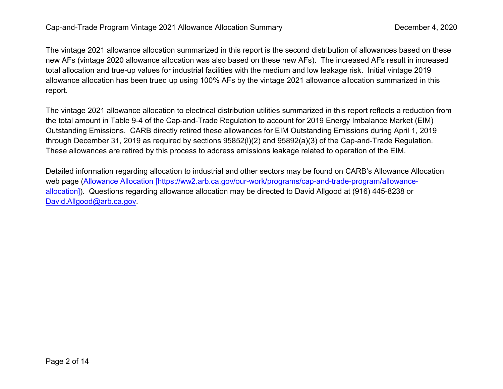The vintage 2021 allowance allocation summarized in this report is the second distribution of allowances based on these new AFs (vintage 2020 allowance allocation was also based on these new AFs). The increased AFs result in increased total allocation and true-up values for industrial facilities with the medium and low leakage risk. Initial vintage 2019 allowance allocation has been trued up using 100% AFs by the vintage 2021 allowance allocation summarized in this report.

The vintage 2021 allowance allocation to electrical distribution utilities summarized in this report reflects a reduction from the total amount in Table 9-4 of the Cap-and-Trade Regulation to account for 2019 Energy Imbalance Market (EIM) Outstanding Emissions. CARB directly retired these allowances for EIM Outstanding Emissions during April 1, 2019 through December 31, 2019 as required by sections 95852(l)(2) and 95892(a)(3) of the Cap-and-Trade Regulation. These allowances are retired by this process to address emissions leakage related to operation of the EIM.

Detailed information regarding allocation to industrial and other sectors may be found on CARB's Allowance Allocation web page [\(Allowance Allocation \[https://ww2.arb.ca.gov/our-work/programs/cap-and-trade-program/allowance](https://ww2.arb.ca.gov/our-work/programs/cap-and-trade-program/allowance-allocation)[allocation\]\)](https://ww2.arb.ca.gov/our-work/programs/cap-and-trade-program/allowance-allocation). Questions regarding allowance allocation may be directed to David Allgood at (916) 445-8238 or [David.Allgood@arb.ca.gov.](mailto:David.Allgood@arb.ca.gov)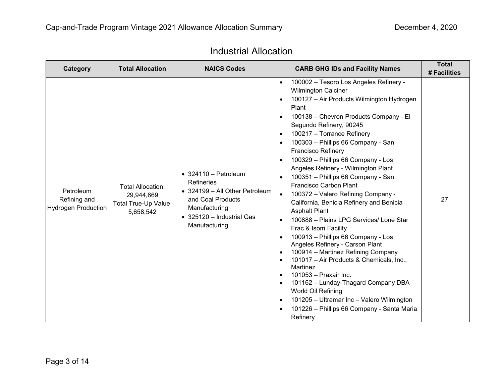| Category                                         | <b>Total Allocation</b>                                                     | <b>NAICS Codes</b>                                                                                                                                                      | <b>CARB GHG IDs and Facility Names</b>                                                                                                                                                                                                                                                                                                                                                                                                                                                                                                                                                                                                                                                                                                                                                                                                                                                                                                                                                                                                                                                                                                                                                            | <b>Total</b><br># Facilities |
|--------------------------------------------------|-----------------------------------------------------------------------------|-------------------------------------------------------------------------------------------------------------------------------------------------------------------------|---------------------------------------------------------------------------------------------------------------------------------------------------------------------------------------------------------------------------------------------------------------------------------------------------------------------------------------------------------------------------------------------------------------------------------------------------------------------------------------------------------------------------------------------------------------------------------------------------------------------------------------------------------------------------------------------------------------------------------------------------------------------------------------------------------------------------------------------------------------------------------------------------------------------------------------------------------------------------------------------------------------------------------------------------------------------------------------------------------------------------------------------------------------------------------------------------|------------------------------|
| Petroleum<br>Refining and<br>Hydrogen Production | <b>Total Allocation:</b><br>29,944,669<br>Total True-Up Value:<br>5,658,542 | $\bullet$ 324110 - Petroleum<br><b>Refineries</b><br>• 324199 - All Other Petroleum<br>and Coal Products<br>Manufacturing<br>• 325120 - Industrial Gas<br>Manufacturing | 100002 - Tesoro Los Angeles Refinery -<br>$\bullet$<br><b>Wilmington Calciner</b><br>100127 - Air Products Wilmington Hydrogen<br>Plant<br>100138 - Chevron Products Company - El<br>$\bullet$<br>Segundo Refinery, 90245<br>100217 - Torrance Refinery<br>$\bullet$<br>100303 - Phillips 66 Company - San<br>$\bullet$<br><b>Francisco Refinery</b><br>100329 - Phillips 66 Company - Los<br>$\bullet$<br>Angeles Refinery - Wilmington Plant<br>100351 - Phillips 66 Company - San<br>$\bullet$<br>Francisco Carbon Plant<br>100372 - Valero Refining Company -<br>$\bullet$<br>California, Benicia Refinery and Benicia<br><b>Asphalt Plant</b><br>100888 - Plains LPG Services/ Lone Star<br>$\bullet$<br>Frac & Isom Facility<br>100913 - Phillips 66 Company - Los<br>$\bullet$<br>Angeles Refinery - Carson Plant<br>100914 - Martinez Refining Company<br>$\bullet$<br>101017 - Air Products & Chemicals, Inc.,<br>$\bullet$<br>Martinez<br>101053 - Praxair Inc.<br>$\bullet$<br>101162 - Lunday-Thagard Company DBA<br>$\bullet$<br>World Oil Refining<br>101205 - Ultramar Inc - Valero Wilmington<br>$\bullet$<br>101226 - Phillips 66 Company - Santa Maria<br>$\bullet$<br>Refinery | 27                           |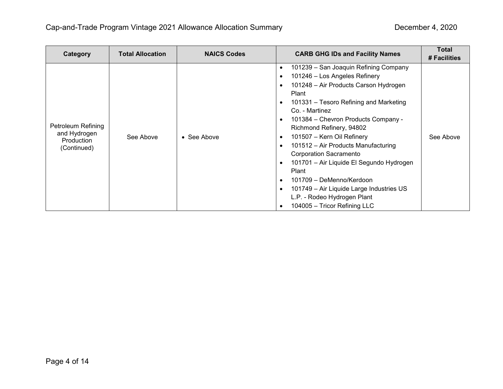| Category                                                        | <b>Total Allocation</b> | <b>NAICS Codes</b> | <b>CARB GHG IDs and Facility Names</b>                                                                                                                                                                                                                                                                                                                                                                                                                                                                                                                                                                                                                                                   | <b>Total</b><br># Facilities |
|-----------------------------------------------------------------|-------------------------|--------------------|------------------------------------------------------------------------------------------------------------------------------------------------------------------------------------------------------------------------------------------------------------------------------------------------------------------------------------------------------------------------------------------------------------------------------------------------------------------------------------------------------------------------------------------------------------------------------------------------------------------------------------------------------------------------------------------|------------------------------|
| Petroleum Refining<br>and Hydrogen<br>Production<br>(Continued) | See Above               | • See Above        | 101239 - San Joaquin Refining Company<br>$\bullet$<br>101246 - Los Angeles Refinery<br>$\bullet$<br>101248 - Air Products Carson Hydrogen<br>$\bullet$<br>Plant<br>101331 – Tesoro Refining and Marketing<br>٠<br>Co. - Martinez<br>101384 - Chevron Products Company -<br>$\bullet$<br>Richmond Refinery, 94802<br>101507 - Kern Oil Refinery<br>$\bullet$<br>101512 - Air Products Manufacturing<br>$\bullet$<br><b>Corporation Sacramento</b><br>101701 – Air Liquide El Segundo Hydrogen<br>$\bullet$<br>Plant<br>101709 - DeMenno/Kerdoon<br>$\bullet$<br>101749 - Air Liquide Large Industries US<br>$\bullet$<br>L.P. - Rodeo Hydrogen Plant<br>104005 - Tricor Refining LLC<br>٠ | See Above                    |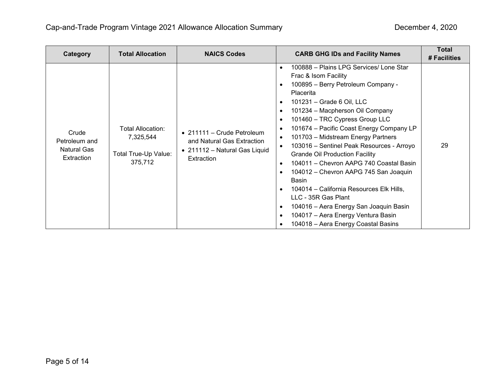| Category                                            | <b>Total Allocation</b>                                           | <b>NAICS Codes</b>                                                                                      | <b>CARB GHG IDs and Facility Names</b>                                                                                                                                                                                                                                                                                                                                                                                                                                                                                                                                                                                                                                                                                                                                                                                                                                           | <b>Total</b><br># Facilities |
|-----------------------------------------------------|-------------------------------------------------------------------|---------------------------------------------------------------------------------------------------------|----------------------------------------------------------------------------------------------------------------------------------------------------------------------------------------------------------------------------------------------------------------------------------------------------------------------------------------------------------------------------------------------------------------------------------------------------------------------------------------------------------------------------------------------------------------------------------------------------------------------------------------------------------------------------------------------------------------------------------------------------------------------------------------------------------------------------------------------------------------------------------|------------------------------|
| Crude<br>Petroleum and<br>Natural Gas<br>Extraction | Total Allocation:<br>7,325,544<br>Total True-Up Value:<br>375,712 | • 211111 – Crude Petroleum<br>and Natural Gas Extraction<br>• 211112 - Natural Gas Liquid<br>Extraction | 100888 - Plains LPG Services/ Lone Star<br>$\bullet$<br>Frac & Isom Facility<br>100895 - Berry Petroleum Company -<br>$\bullet$<br><b>Placerita</b><br>101231 - Grade 6 Oil, LLC<br>$\bullet$<br>101234 - Macpherson Oil Company<br>$\bullet$<br>101460 - TRC Cypress Group LLC<br>$\bullet$<br>101674 - Pacific Coast Energy Company LP<br>$\bullet$<br>101703 - Midstream Energy Partners<br>$\bullet$<br>103016 - Sentinel Peak Resources - Arroyo<br>$\bullet$<br><b>Grande Oil Production Facility</b><br>104011 - Chevron AAPG 740 Coastal Basin<br>$\bullet$<br>104012 - Chevron AAPG 745 San Joaquin<br>$\bullet$<br>Basin<br>104014 - California Resources Elk Hills,<br>$\bullet$<br>LLC - 35R Gas Plant<br>104016 - Aera Energy San Joaquin Basin<br>$\bullet$<br>104017 - Aera Energy Ventura Basin<br>$\bullet$<br>104018 - Aera Energy Coastal Basins<br>$\bullet$ | 29                           |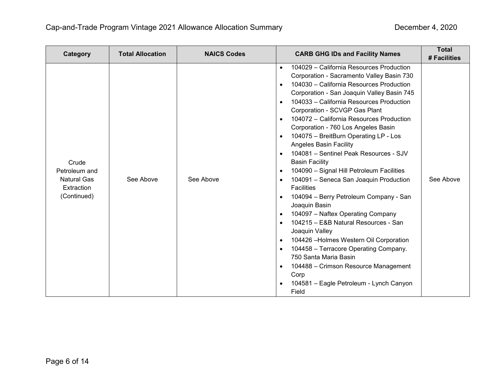| Category                                                                  | <b>Total Allocation</b> | <b>NAICS Codes</b> | <b>CARB GHG IDs and Facility Names</b>                                                                                                                                                                                                                                                                                                                                                                                                                                                                                                                                                                                                                                                                                                                                                                                                                                                                                                                                                                                                                                                                                                                                    | <b>Total</b><br># Facilities |
|---------------------------------------------------------------------------|-------------------------|--------------------|---------------------------------------------------------------------------------------------------------------------------------------------------------------------------------------------------------------------------------------------------------------------------------------------------------------------------------------------------------------------------------------------------------------------------------------------------------------------------------------------------------------------------------------------------------------------------------------------------------------------------------------------------------------------------------------------------------------------------------------------------------------------------------------------------------------------------------------------------------------------------------------------------------------------------------------------------------------------------------------------------------------------------------------------------------------------------------------------------------------------------------------------------------------------------|------------------------------|
| Crude<br>Petroleum and<br><b>Natural Gas</b><br>Extraction<br>(Continued) | See Above               | See Above          | 104029 - California Resources Production<br>$\bullet$<br>Corporation - Sacramento Valley Basin 730<br>104030 - California Resources Production<br>$\bullet$<br>Corporation - San Joaquin Valley Basin 745<br>104033 - California Resources Production<br>$\bullet$<br>Corporation - SCVGP Gas Plant<br>104072 - California Resources Production<br>$\bullet$<br>Corporation - 760 Los Angeles Basin<br>104075 - BreitBurn Operating LP - Los<br>$\bullet$<br><b>Angeles Basin Facility</b><br>104081 - Sentinel Peak Resources - SJV<br>$\bullet$<br><b>Basin Facility</b><br>104090 - Signal Hill Petroleum Facilities<br>$\bullet$<br>104091 - Seneca San Joaquin Production<br>$\bullet$<br><b>Facilities</b><br>104094 - Berry Petroleum Company - San<br>$\bullet$<br>Joaquin Basin<br>104097 - Naftex Operating Company<br>$\bullet$<br>104215 - E&B Natural Resources - San<br>$\bullet$<br>Joaquin Valley<br>104426 - Holmes Western Oil Corporation<br>$\bullet$<br>104458 - Terracore Operating Company.<br>$\bullet$<br>750 Santa Maria Basin<br>104488 - Crimson Resource Management<br>$\bullet$<br>Corp<br>104581 - Eagle Petroleum - Lynch Canyon<br>Field | See Above                    |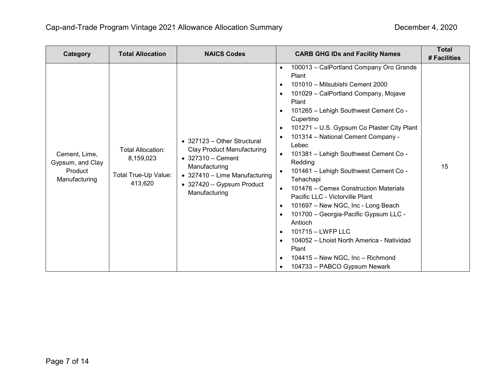| Category                                                      | <b>Total Allocation</b>                                                  | <b>NAICS Codes</b>                                                                                                                                                                                    | <b>CARB GHG IDs and Facility Names</b>                                                                                                                                                                                                                                                                                                                                                                                                                                                                                                                                                                                                                                                                                                                                                                                                                                | <b>Total</b><br># Facilities |
|---------------------------------------------------------------|--------------------------------------------------------------------------|-------------------------------------------------------------------------------------------------------------------------------------------------------------------------------------------------------|-----------------------------------------------------------------------------------------------------------------------------------------------------------------------------------------------------------------------------------------------------------------------------------------------------------------------------------------------------------------------------------------------------------------------------------------------------------------------------------------------------------------------------------------------------------------------------------------------------------------------------------------------------------------------------------------------------------------------------------------------------------------------------------------------------------------------------------------------------------------------|------------------------------|
| Cement, Lime,<br>Gypsum, and Clay<br>Product<br>Manufacturing | <b>Total Allocation:</b><br>8,159,023<br>Total True-Up Value:<br>413,620 | • 327123 – Other Structural<br><b>Clay Product Manufacturing</b><br>$\bullet$ 327310 - Cement<br>Manufacturing<br>• 327410 - Lime Manufacturing<br>$\bullet$ 327420 - Gypsum Product<br>Manufacturing | 100013 - CalPortland Company Oro Grande<br>$\bullet$<br>Plant<br>101010 - Mitsubishi Cement 2000<br>$\bullet$<br>101029 - CalPortland Company, Mojave<br>$\bullet$<br>Plant<br>101265 - Lehigh Southwest Cement Co -<br>$\bullet$<br>Cupertino<br>101271 – U.S. Gypsum Co Plaster City Plant<br>$\bullet$<br>101314 - National Cement Company -<br>$\bullet$<br>Lebec<br>101381 - Lehigh Southwest Cement Co -<br>Redding<br>101461 - Lehigh Southwest Cement Co -<br>Tehachapi<br>101476 – Cemex Construction Materials<br>Pacific LLC - Victorville Plant<br>101697 - New NGC, Inc - Long Beach<br>$\bullet$<br>101700 - Georgia-Pacific Gypsum LLC -<br>$\bullet$<br>Antioch<br>101715 - LWFP LLC<br>$\bullet$<br>104052 - Lhoist North America - Natividad<br>$\bullet$<br>Plant<br>104415 - New NGC, Inc - Richmond<br>$\bullet$<br>104733 - PABCO Gypsum Newark | 15                           |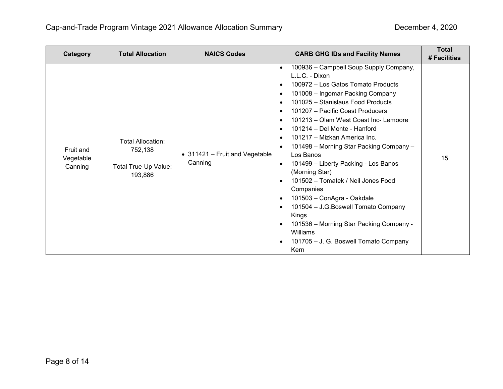| Category                          | <b>Total Allocation</b>                                         | <b>NAICS Codes</b>                        | <b>CARB GHG IDs and Facility Names</b>                                                                                                                                                                                                                                                                                                                                                                                                                                                                                                                                                                                                                                                                                                                                                                                                                                             | <b>Total</b><br># Facilities |
|-----------------------------------|-----------------------------------------------------------------|-------------------------------------------|------------------------------------------------------------------------------------------------------------------------------------------------------------------------------------------------------------------------------------------------------------------------------------------------------------------------------------------------------------------------------------------------------------------------------------------------------------------------------------------------------------------------------------------------------------------------------------------------------------------------------------------------------------------------------------------------------------------------------------------------------------------------------------------------------------------------------------------------------------------------------------|------------------------------|
| Fruit and<br>Vegetable<br>Canning | Total Allocation:<br>752,138<br>Total True-Up Value:<br>193,886 | • 311421 - Fruit and Vegetable<br>Canning | 100936 - Campbell Soup Supply Company,<br>$\bullet$<br>L.L.C. - Dixon<br>100972 - Los Gatos Tomato Products<br>$\bullet$<br>101008 - Ingomar Packing Company<br>$\bullet$<br>101025 - Stanislaus Food Products<br>$\bullet$<br>101207 - Pacific Coast Producers<br>$\bullet$<br>101213 - Olam West Coast Inc- Lemoore<br>$\bullet$<br>101214 - Del Monte - Hanford<br>$\bullet$<br>101217 - Mizkan America Inc.<br>$\bullet$<br>101498 - Morning Star Packing Company -<br>$\bullet$<br>Los Banos<br>101499 - Liberty Packing - Los Banos<br>$\bullet$<br>(Morning Star)<br>101502 - Tomatek / Neil Jones Food<br>$\bullet$<br>Companies<br>101503 - ConAgra - Oakdale<br>$\bullet$<br>101504 - J.G.Boswell Tomato Company<br>$\bullet$<br>Kings<br>101536 - Morning Star Packing Company -<br>$\bullet$<br>Williams<br>101705 - J. G. Boswell Tomato Company<br>$\bullet$<br>Kern | 15                           |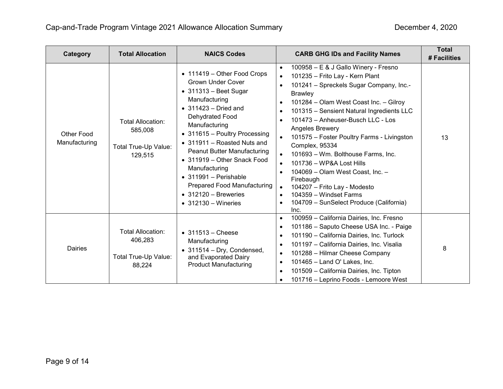| Category                           | <b>Total Allocation</b>                                                | <b>NAICS Codes</b>                                                                                                                                                                                                                                                                                                                                                                                                                                                        | <b>CARB GHG IDs and Facility Names</b>                                                                                                                                                                                                                                                                                                                                                                                                                                                                                                                                                                                                                                                                                             | <b>Total</b><br># Facilities |
|------------------------------------|------------------------------------------------------------------------|---------------------------------------------------------------------------------------------------------------------------------------------------------------------------------------------------------------------------------------------------------------------------------------------------------------------------------------------------------------------------------------------------------------------------------------------------------------------------|------------------------------------------------------------------------------------------------------------------------------------------------------------------------------------------------------------------------------------------------------------------------------------------------------------------------------------------------------------------------------------------------------------------------------------------------------------------------------------------------------------------------------------------------------------------------------------------------------------------------------------------------------------------------------------------------------------------------------------|------------------------------|
| <b>Other Food</b><br>Manufacturing | <b>Total Allocation:</b><br>585,008<br>Total True-Up Value:<br>129,515 | • 111419 - Other Food Crops<br><b>Grown Under Cover</b><br>$\bullet$ 311313 - Beet Sugar<br>Manufacturing<br>$\bullet$ 311423 - Dried and<br>Dehydrated Food<br>Manufacturing<br>• 311615 - Poultry Processing<br>• 311911 - Roasted Nuts and<br><b>Peanut Butter Manufacturing</b><br>• 311919 – Other Snack Food<br>Manufacturing<br>$\bullet$ 311991 - Perishable<br><b>Prepared Food Manufacturing</b><br>$\bullet$ 312120 - Breweries<br>$\bullet$ 312130 – Wineries | 100958 - E & J Gallo Winery - Fresno<br>$\bullet$<br>101235 - Frito Lay - Kern Plant<br>$\bullet$<br>101241 - Spreckels Sugar Company, Inc.-<br>$\bullet$<br><b>Brawley</b><br>101284 - Olam West Coast Inc. - Gilroy<br>$\bullet$<br>101315 - Sensient Natural Ingredients LLC<br>$\bullet$<br>101473 - Anheuser-Busch LLC - Los<br>Angeles Brewery<br>101575 - Foster Poultry Farms - Livingston<br>$\bullet$<br>Complex, 95334<br>101693 - Wm. Bolthouse Farms, Inc.<br>101736 - WP&A Lost Hills<br>$\bullet$<br>104069 - Olam West Coast, Inc. -<br>$\bullet$<br>Firebaugh<br>104207 - Frito Lay - Modesto<br>$\bullet$<br>104359 - Windset Farms<br>$\bullet$<br>104709 - SunSelect Produce (California)<br>$\bullet$<br>Inc. | 13                           |
| <b>Dairies</b>                     | Total Allocation:<br>406,283<br>Total True-Up Value:<br>88,224         | $\bullet$ 311513 - Cheese<br>Manufacturing<br>• 311514 - Dry, Condensed,<br>and Evaporated Dairy<br><b>Product Manufacturing</b>                                                                                                                                                                                                                                                                                                                                          | 100959 - California Dairies, Inc. Fresno<br>$\bullet$<br>101186 - Saputo Cheese USA Inc. - Paige<br>$\bullet$<br>101190 - California Dairies, Inc. Turlock<br>$\bullet$<br>101197 - California Dairies, Inc. Visalia<br>$\bullet$<br>101288 - Hilmar Cheese Company<br>$\bullet$<br>101465 - Land O' Lakes, Inc.<br>$\bullet$<br>101509 - California Dairies, Inc. Tipton<br>$\bullet$<br>101716 - Leprino Foods - Lemoore West<br>$\bullet$                                                                                                                                                                                                                                                                                       | 8                            |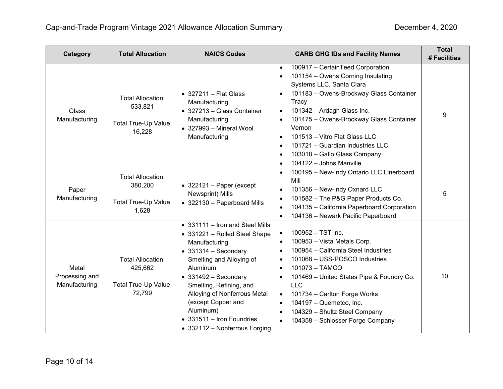| Category                                 | <b>Total Allocation</b>                                               | <b>NAICS Codes</b>                                                                                                                                                                                                                                                                                                                                            | <b>CARB GHG IDs and Facility Names</b>                                                                                                                                                                                                                                                                                                                                                                                                                                           | <b>Total</b><br># Facilities |
|------------------------------------------|-----------------------------------------------------------------------|---------------------------------------------------------------------------------------------------------------------------------------------------------------------------------------------------------------------------------------------------------------------------------------------------------------------------------------------------------------|----------------------------------------------------------------------------------------------------------------------------------------------------------------------------------------------------------------------------------------------------------------------------------------------------------------------------------------------------------------------------------------------------------------------------------------------------------------------------------|------------------------------|
| <b>Glass</b><br>Manufacturing            | <b>Total Allocation:</b><br>533,821<br>Total True-Up Value:<br>16,228 | $\bullet$ 327211 - Flat Glass<br>Manufacturing<br>• 327213 - Glass Container<br>Manufacturing<br>$\bullet$ 327993 - Mineral Wool<br>Manufacturing                                                                                                                                                                                                             | 100917 - CertainTeed Corporation<br>$\bullet$<br>101154 - Owens Corning Insulating<br>$\bullet$<br>Systems LLC, Santa Clara<br>101183 - Owens-Brockway Glass Container<br>$\bullet$<br>Tracy<br>101342 - Ardagh Glass Inc.<br>$\bullet$<br>101475 - Owens-Brockway Glass Container<br>Vernon<br>101513 - Vitro Flat Glass LLC<br>$\bullet$<br>101721 - Guardian Industries LLC<br>$\bullet$<br>103018 - Gallo Glass Company<br>$\bullet$<br>104122 - Johns Manville<br>$\bullet$ | 9                            |
| Paper<br>Manufacturing                   | <b>Total Allocation:</b><br>380,200<br>Total True-Up Value:<br>1,628  | $\bullet$ 322121 - Paper (except<br>Newsprint) Mills<br>• 322130 - Paperboard Mills                                                                                                                                                                                                                                                                           | 100195 - New-Indy Ontario LLC Linerboard<br>$\bullet$<br>Mill<br>101356 - New-Indy Oxnard LLC<br>$\bullet$<br>101582 - The P&G Paper Products Co.<br>$\bullet$<br>104135 - California Paperboard Corporation<br>$\bullet$<br>104136 - Newark Pacific Paperboard<br>$\bullet$                                                                                                                                                                                                     | 5                            |
| Metal<br>Processing and<br>Manufacturing | <b>Total Allocation:</b><br>425,662<br>Total True-Up Value:<br>72,799 | • 331111 - Iron and Steel Mills<br>• 331221 - Rolled Steel Shape<br>Manufacturing<br>$\bullet$ 331314 - Secondary<br>Smelting and Alloying of<br>Aluminum<br>$\bullet$ 331492 - Secondary<br>Smelting, Refining, and<br>Alloying of Nonferrous Metal<br>(except Copper and<br>Aluminum)<br>$\bullet$ 331511 - Iron Foundries<br>• 332112 - Nonferrous Forging | 100952 - TST Inc.<br>$\bullet$<br>100953 - Vista Metals Corp.<br>$\bullet$<br>100954 - California Steel Industries<br>$\bullet$<br>101068 - USS-POSCO Industries<br>$\bullet$<br>101073 - TAMCO<br>$\bullet$<br>101469 - United States Pipe & Foundry Co.<br>$\bullet$<br><b>LLC</b><br>101734 - Carlton Forge Works<br>$\bullet$<br>104197 - Quemetco, Inc.<br>$\bullet$<br>104329 - Shultz Steel Company<br>$\bullet$<br>104358 - Schlosser Forge Company<br>$\bullet$         | 10                           |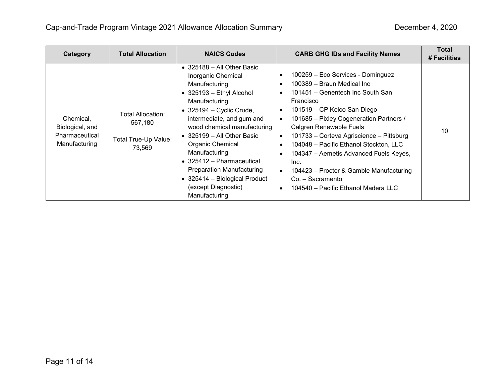| Category                                                        | <b>Total Allocation</b>                                        | <b>NAICS Codes</b>                                                                                                                                                                                                                                                                                                                                                                                                                                          | <b>CARB GHG IDs and Facility Names</b>                                                                                                                                                                                                                                                                                                                                                                                                                                                                                                                                                                | Total<br># Facilities |
|-----------------------------------------------------------------|----------------------------------------------------------------|-------------------------------------------------------------------------------------------------------------------------------------------------------------------------------------------------------------------------------------------------------------------------------------------------------------------------------------------------------------------------------------------------------------------------------------------------------------|-------------------------------------------------------------------------------------------------------------------------------------------------------------------------------------------------------------------------------------------------------------------------------------------------------------------------------------------------------------------------------------------------------------------------------------------------------------------------------------------------------------------------------------------------------------------------------------------------------|-----------------------|
| Chemical,<br>Biological, and<br>Pharmaceutical<br>Manufacturing | Total Allocation:<br>567,180<br>Total True-Up Value:<br>73,569 | $\bullet$ 325188 - All Other Basic<br>Inorganic Chemical<br>Manufacturing<br>$\bullet$ 325193 - Ethyl Alcohol<br>Manufacturing<br>$\bullet$ 325194 - Cyclic Crude,<br>intermediate, and gum and<br>wood chemical manufacturing<br>$\bullet$ 325199 – All Other Basic<br>Organic Chemical<br>Manufacturing<br>$\bullet$ 325412 - Pharmaceutical<br><b>Preparation Manufacturing</b><br>• 325414 - Biological Product<br>(except Diagnostic)<br>Manufacturing | 100259 - Eco Services - Dominguez<br>$\bullet$<br>100389 - Braun Medical Inc<br>$\bullet$<br>101451 – Genentech Inc South San<br>$\bullet$<br>Francisco<br>101519 - CP Kelco San Diego<br>$\bullet$<br>101685 - Pixley Cogeneration Partners /<br>$\bullet$<br>Calgren Renewable Fuels<br>101733 - Corteva Agriscience - Pittsburg<br>$\bullet$<br>104048 - Pacific Ethanol Stockton, LLC<br>$\bullet$<br>104347 - Aemetis Advanced Fuels Keyes,<br>$\bullet$<br>Inc.<br>104423 - Procter & Gamble Manufacturing<br>$\bullet$<br>Co. - Sacramento<br>104540 – Pacific Ethanol Madera LLC<br>$\bullet$ | 10                    |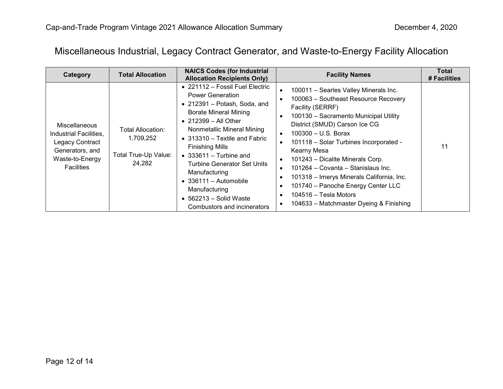## Miscellaneous Industrial, Legacy Contract Generator, and Waste-to-Energy Facility Allocation

| Category                                                                                                                     | <b>Total Allocation</b>                                          | <b>NAICS Codes (for Industrial</b><br><b>Allocation Recipients Only)</b>                                                                                                                                                                                                                                                                                                                                                                                                        | <b>Facility Names</b>                                                                                                                                                                                                                                                                                                                                                                                                                                                                                                                                                                                                                         | Total<br># Facilities |
|------------------------------------------------------------------------------------------------------------------------------|------------------------------------------------------------------|---------------------------------------------------------------------------------------------------------------------------------------------------------------------------------------------------------------------------------------------------------------------------------------------------------------------------------------------------------------------------------------------------------------------------------------------------------------------------------|-----------------------------------------------------------------------------------------------------------------------------------------------------------------------------------------------------------------------------------------------------------------------------------------------------------------------------------------------------------------------------------------------------------------------------------------------------------------------------------------------------------------------------------------------------------------------------------------------------------------------------------------------|-----------------------|
| <b>Miscellaneous</b><br>Industrial Facilities,<br>Legacy Contract<br>Generators, and<br>Waste-to-Energy<br><b>Facilities</b> | Total Allocation:<br>1,709,252<br>Total True-Up Value:<br>24,282 | $\bullet$ 221112 – Fossil Fuel Electric<br><b>Power Generation</b><br>$\bullet$ 212391 - Potash, Soda, and<br><b>Borate Mineral Mining</b><br>$\bullet$ 212399 - All Other<br>Nonmetallic Mineral Mining<br>• 313310 – Textile and Fabric<br><b>Finishing Mills</b><br>$\bullet$ 333611 – Turbine and<br><b>Turbine Generator Set Units</b><br>Manufacturing<br>$\bullet$ 336111 - Automobile<br>Manufacturing<br>$\bullet$ 562213 – Solid Waste<br>Combustors and incinerators | 100011 - Searles Valley Minerals Inc.<br>$\bullet$<br>100063 - Southeast Resource Recovery<br>$\bullet$<br>Facility (SERRF)<br>100130 - Sacramento Municipal Utility<br>$\bullet$<br>District (SMUD) Carson Ice CG<br>$100300 - U.S.$ Borax<br>$\bullet$<br>101118 - Solar Turbines Incorporated -<br>$\bullet$<br>Kearny Mesa<br>101243 - Dicalite Minerals Corp.<br>$\bullet$<br>101264 - Covanta - Stanislaus Inc.<br>$\bullet$<br>101318 - Imerys Minerals California, Inc.<br>$\bullet$<br>101740 - Panoche Energy Center LLC<br>$\bullet$<br>104516 – Tesla Motors<br>$\bullet$<br>104633 - Matchmaster Dyeing & Finishing<br>$\bullet$ | 11                    |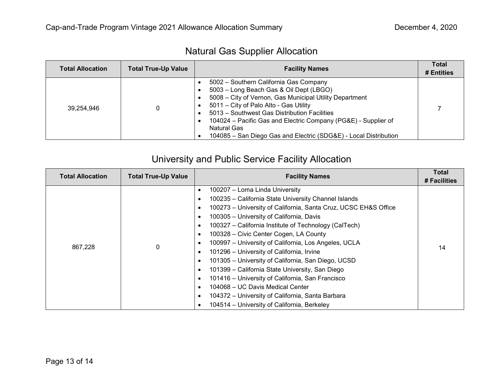| <b>Total Allocation</b> | <b>Total True-Up Value</b> | <b>Facility Names</b>                                                                                                                                                                                                                                                                                                                                                                              | <b>Total</b><br># Entities |
|-------------------------|----------------------------|----------------------------------------------------------------------------------------------------------------------------------------------------------------------------------------------------------------------------------------------------------------------------------------------------------------------------------------------------------------------------------------------------|----------------------------|
| 39.254.946              |                            | 5002 - Southern California Gas Company<br>5003 - Long Beach Gas & Oil Dept (LBGO)<br>5008 - City of Vernon, Gas Municipal Utility Department<br>5011 – City of Palo Alto - Gas Utility<br>5013 - Southwest Gas Distribution Facilities<br>104024 – Pacific Gas and Electric Company (PG&E) - Supplier of<br><b>Natural Gas</b><br>104085 - San Diego Gas and Electric (SDG&E) - Local Distribution |                            |

# University and Public Service Facility Allocation

| <b>Total Allocation</b> | <b>Total True-Up Value</b> | <b>Facility Names</b>                                                                                                                                                                                                                                                                                                                                                                                                                                                                                                                                                                                                                                                                                                                                                              | Total<br># Facilities |
|-------------------------|----------------------------|------------------------------------------------------------------------------------------------------------------------------------------------------------------------------------------------------------------------------------------------------------------------------------------------------------------------------------------------------------------------------------------------------------------------------------------------------------------------------------------------------------------------------------------------------------------------------------------------------------------------------------------------------------------------------------------------------------------------------------------------------------------------------------|-----------------------|
| 867,228                 | 0                          | 100207 - Loma Linda University<br>٠<br>100235 - California State University Channel Islands<br>٠<br>100273 - University of California, Santa Cruz, UCSC EH&S Office<br>٠<br>100305 - University of California, Davis<br>٠<br>100327 - California Institute of Technology (CalTech)<br>٠<br>100328 - Civic Center Cogen, LA County<br>٠<br>100997 - University of California, Los Angeles, UCLA<br>٠<br>101296 - University of California, Irvine<br>٠<br>101305 - University of California, San Diego, UCSD<br>٠<br>101399 - California State University, San Diego<br>٠<br>101416 - University of California, San Francisco<br>٠<br>104068 - UC Davis Medical Center<br>٠<br>104372 - University of California, Santa Barbara<br>٠<br>104514 - University of California, Berkeley | 14                    |